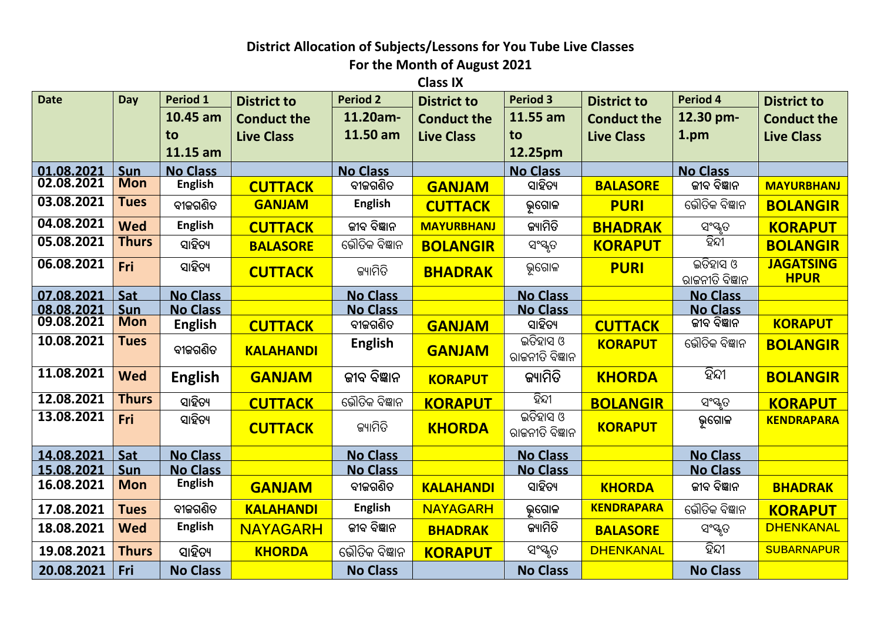## **District Allocation of Subjects/Lessons for You Tube Live Classes**

**For the Month of August 2021**

**Class IX** 

| <b>Date</b> | Day          | Period 1        | <b>District to</b> | <b>Period 2</b> | <b>District to</b> | <b>Period 3</b>             | <b>District to</b> | Period 4                    | <b>District to</b>              |
|-------------|--------------|-----------------|--------------------|-----------------|--------------------|-----------------------------|--------------------|-----------------------------|---------------------------------|
|             |              | 10.45 am        | <b>Conduct the</b> | 11.20am-        | <b>Conduct the</b> | 11.55 am                    | <b>Conduct the</b> | 12.30 pm-                   | <b>Conduct the</b>              |
|             |              | to              | <b>Live Class</b>  | 11.50 am        | <b>Live Class</b>  | to                          | <b>Live Class</b>  | 1.pm                        | <b>Live Class</b>               |
|             |              | 11.15 am        |                    |                 |                    | 12.25pm                     |                    |                             |                                 |
| 01.08.2021  | <b>Sun</b>   | <b>No Class</b> |                    | <b>No Class</b> |                    | <b>No Class</b>             |                    | <b>No Class</b>             |                                 |
| 02.08.2021  | <b>Mon</b>   | <b>English</b>  | <b>CUTTACK</b>     | ବୀଜଗଣିତ         | <b>GANJAM</b>      | ସାହିତ୍ୟ                     | <b>BALASORE</b>    | ଜୀବ ବିଜ୍ଞାନ                 | <b>MAYURBHANJ</b>               |
| 03.08.2021  | <b>Tues</b>  | ବୀଜଗଣିତ         | <b>GANJAM</b>      | <b>English</b>  | <b>CUTTACK</b>     | ଭୂଗୋଳ                       | <b>PURI</b>        | ଭୌତିକ ବିଜ୍ଞାନ               | <b>BOLANGIR</b>                 |
| 04.08.2021  | <b>Wed</b>   | <b>English</b>  | <b>CUTTACK</b>     | ଜୀବ ବିଜ୍ଞାନ     | <b>MAYURBHANJ</b>  | ଜ୍ୟାମିତି                    | <b>BHADRAK</b>     | ସଂସ୍କୃତ                     | <b>KORAPUT</b>                  |
| 05.08.2021  | <b>Thurs</b> | ସାହିତ୍ୟ         | <b>BALASORE</b>    | ଭୌତିକ ବିଜ୍ଞାନ   | <b>BOLANGIR</b>    | ସଂସ୍କୃତ                     | <b>KORAPUT</b>     | ହିନ୍ଦୀ                      | <b>BOLANGIR</b>                 |
| 06.08.2021  | Fri          | ସାହିତ୍ୟ         | <b>CUTTACK</b>     | ଜ୍ୟାମିତି        | <b>BHADRAK</b>     | ଭୂଗୋଳ                       | <b>PURI</b>        | ଇତିହାସ ଓ<br>ରାଜନୀତି ବିଜ୍ଞାନ | <b>JAGATSING</b><br><b>HPUR</b> |
| 07.08.2021  | Sat          | <b>No Class</b> |                    | <b>No Class</b> |                    | <b>No Class</b>             |                    | <b>No Class</b>             |                                 |
| 08.08.2021  | Sun          | <b>No Class</b> |                    | <b>No Class</b> |                    | <b>No Class</b>             |                    | <b>No Class</b>             |                                 |
| 09.08.2021  | <b>Mon</b>   | <b>English</b>  | <b>CUTTACK</b>     | ବୀଜଗଣିତ         | <b>GANJAM</b>      | ସାହିତ୍ୟ                     | <b>CUTTACK</b>     | ଜୀବ ବିଜ୍ଞାନ                 | <b>KORAPUT</b>                  |
| 10.08.2021  | <b>Tues</b>  | ବୀଜଗଣିତ         | <b>KALAHANDI</b>   | <b>English</b>  | <b>GANJAM</b>      | ଇତିହାସ ଓ<br>ରାଜନୀତି ବିଜ୍ଞାନ | <b>KORAPUT</b>     | ଭୌତିକ ବିଜ୍ଞାନ               | <b>BOLANGIR</b>                 |
| 11.08.2021  | <b>Wed</b>   | <b>English</b>  | <b>GANJAM</b>      | ଜୀବ ବିଜ୍ଞାନ     | <b>KORAPUT</b>     | ଜ୍ୟାମିତି                    | <b>KHORDA</b>      | ହିନ୍ଦୀ                      | <b>BOLANGIR</b>                 |
| 12.08.2021  | <b>Thurs</b> | ସାହିତ୍ୟ         | <b>CUTTACK</b>     | ଭୌତିକ ବିଜ୍ଞାନ   | <b>KORAPUT</b>     | ହିନ୍ଦୀ                      | <b>BOLANGIR</b>    | ସଂସ୍କୃତ                     | <b>KORAPUT</b>                  |
| 13.08.2021  | Fri          | ସାହିତ୍ୟ         | <b>CUTTACK</b>     | ଜ୍ୟାମିତି        | <b>KHORDA</b>      | ଇତିହାସ ଓ<br>ରାଜନୀତି ବିଜ୍ଞାନ | <b>KORAPUT</b>     | ଭ଼ଗୋଳ                       | <b>KENDRAPARA</b>               |
| 14.08.2021  | Sat          | <b>No Class</b> |                    | <b>No Class</b> |                    | <b>No Class</b>             |                    | <b>No Class</b>             |                                 |
| 15.08.2021  | Sun          | <b>No Class</b> |                    | <b>No Class</b> |                    | <b>No Class</b>             |                    | <b>No Class</b>             |                                 |
| 16.08.2021  | <b>Mon</b>   | <b>English</b>  | <b>GANJAM</b>      | ବୀଜଗଣିତ         | <b>KALAHANDI</b>   | ସାହିତ୍ୟ                     | <b>KHORDA</b>      | ଜୀବ ବିଜ୍ଞାନ                 | <b>BHADRAK</b>                  |
| 17.08.2021  | <b>Tues</b>  | ବୀଜଗଣିତ         | <b>KALAHANDI</b>   | <b>English</b>  | <b>NAYAGARH</b>    | ଭଗୋଳ                        | <b>KENDRAPARA</b>  | ଭୌତିକ ବିଜ୍ଞାନ               | <b>KORAPUT</b>                  |
| 18.08.2021  | <b>Wed</b>   | <b>English</b>  | <b>NAYAGARH</b>    | ଜୀବ ବିଜ୍ଞାନ     | <b>BHADRAK</b>     | ଜ୍ୟାମିତି                    | <b>BALASORE</b>    | ସଂସ୍କୃତ                     | <b>DHENKANAL</b>                |
| 19.08.2021  | <b>Thurs</b> | ସାହିତ୍ୟ         | <b>KHORDA</b>      | ଭୌତିକ ବିଜ୍ଞାନ   | <b>KORAPUT</b>     | ସଂସ୍କୃତ                     | <b>DHENKANAL</b>   | ହିନ୍ଦୀ                      | <b>SUBARNAPUR</b>               |
| 20.08.2021  | Fri          | <b>No Class</b> |                    | <b>No Class</b> |                    | <b>No Class</b>             |                    | <b>No Class</b>             |                                 |